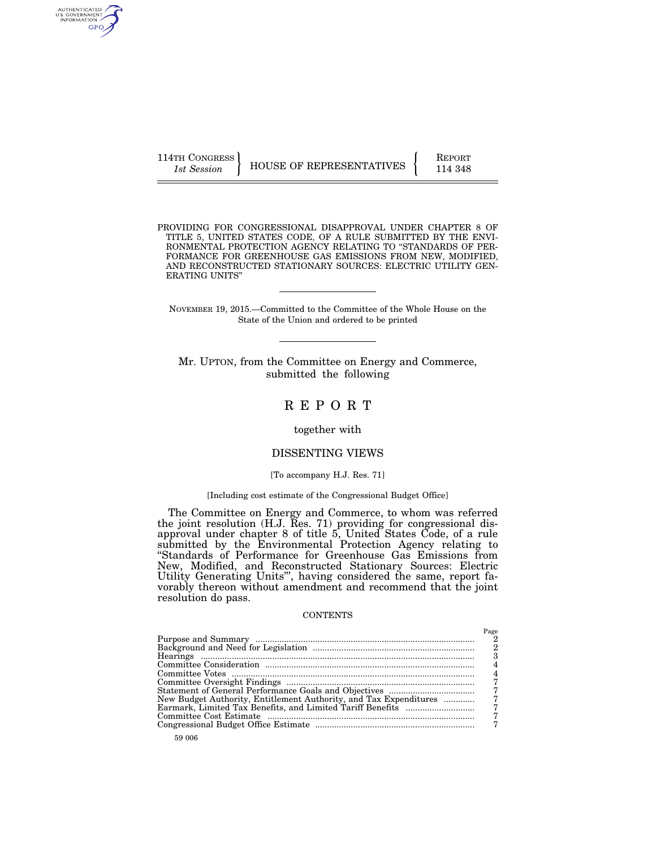AUTHENTICATED<br>U.S. GOVERNMENT<br>INFORMATION GPO

114TH CONGRESS **REPORT 114TH CONGRESS** HOUSE OF REPRESENTATIVES  $\begin{cases}$  REPORT 114 348

PROVIDING FOR CONGRESSIONAL DISAPPROVAL UNDER CHAPTER 8 OF TITLE 5, UNITED STATES CODE, OF A RULE SUBMITTED BY THE ENVI-RONMENTAL PROTECTION AGENCY RELATING TO ''STANDARDS OF PER-FORMANCE FOR GREENHOUSE GAS EMISSIONS FROM NEW, MODIFIED, AND RECONSTRUCTED STATIONARY SOURCES: ELECTRIC UTILITY GEN-ERATING UNITS''

NOVEMBER 19, 2015.—Committed to the Committee of the Whole House on the State of the Union and ordered to be printed

Mr. UPTON, from the Committee on Energy and Commerce, submitted the following

## R E P O R T

## together with

## DISSENTING VIEWS

#### [To accompany H.J. Res. 71]

## [Including cost estimate of the Congressional Budget Office]

The Committee on Energy and Commerce, to whom was referred the joint resolution (H.J. Res. 71) providing for congressional disapproval under chapter 8 of title 5, United States Code, of a rule submitted by the Environmental Protection Agency relating to ''Standards of Performance for Greenhouse Gas Emissions from New, Modified, and Reconstructed Stationary Sources: Electric Utility Generating Units''', having considered the same, report favorably thereon without amendment and recommend that the joint resolution do pass.

#### **CONTENTS**

| New Budget Authority, Entitlement Authority, and Tax Expenditures |  |
|-------------------------------------------------------------------|--|
|                                                                   |  |
|                                                                   |  |
|                                                                   |  |
|                                                                   |  |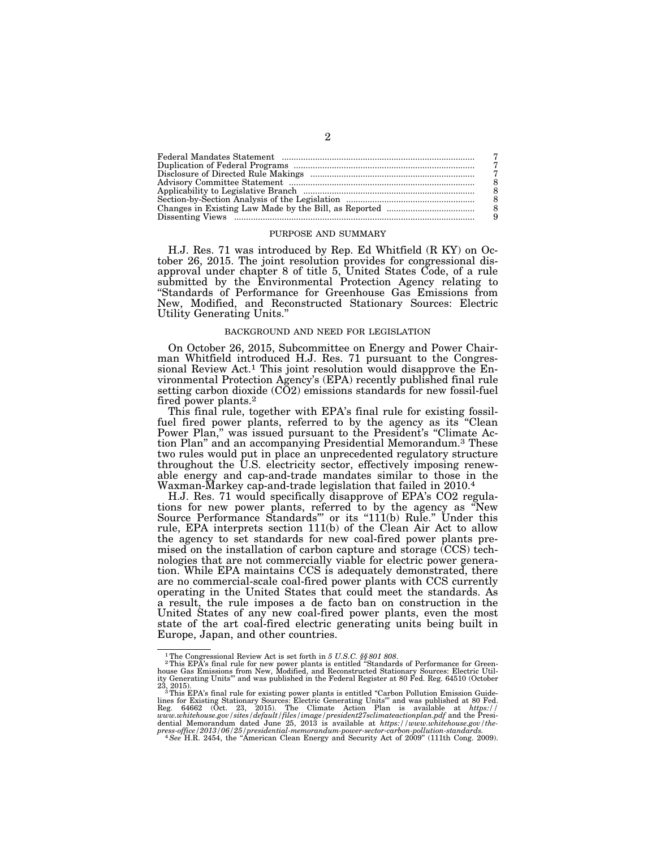#### PURPOSE AND SUMMARY

H.J. Res. 71 was introduced by Rep. Ed Whitfield (R KY) on October 26, 2015. The joint resolution provides for congressional disapproval under chapter 8 of title 5, United States Code, of a rule submitted by the Environmental Protection Agency relating to ''Standards of Performance for Greenhouse Gas Emissions from New, Modified, and Reconstructed Stationary Sources: Electric Utility Generating Units.''

## BACKGROUND AND NEED FOR LEGISLATION

On October 26, 2015, Subcommittee on Energy and Power Chairman Whitfield introduced H.J. Res. 71 pursuant to the Congressional Review Act.1 This joint resolution would disapprove the Environmental Protection Agency's (EPA) recently published final rule setting carbon dioxide (CO2) emissions standards for new fossil-fuel fired power plants.2

This final rule, together with EPA's final rule for existing fossilfuel fired power plants, referred to by the agency as its "Clean Power Plan,'' was issued pursuant to the President's ''Climate Action Plan'' and an accompanying Presidential Memorandum.3 These two rules would put in place an unprecedented regulatory structure throughout the U.S. electricity sector, effectively imposing renewable energy and cap-and-trade mandates similar to those in the Waxman-Markey cap-and-trade legislation that failed in 2010.4

H.J. Res. 71 would specifically disapprove of EPA's CO2 regulations for new power plants, referred to by the agency as ''New Source Performance Standards''' or its ''111(b) Rule.'' Under this rule, EPA interprets section 111(b) of the Clean Air Act to allow the agency to set standards for new coal-fired power plants premised on the installation of carbon capture and storage (CCS) technologies that are not commercially viable for electric power generation. While EPA maintains CCS is adequately demonstrated, there are no commercial-scale coal-fired power plants with CCS currently operating in the United States that could meet the standards. As a result, the rule imposes a de facto ban on construction in the United States of any new coal-fired power plants, even the most state of the art coal-fired electric generating units being built in Europe, Japan, and other countries.

<sup>&</sup>lt;sup>1</sup>The Congressional Review Act is set forth in 5 U.S.C. \$\$801 808.<br><sup>2</sup>This EPA's final rule for new power plants is entitled "Standards of Performance for Green-<br>house Gas Emissions from New, Modified, and Reconstructed dential Memorandum dated June 25, 2013 is available at *https://www.whitehouse.gov/the-*<br>press-office/2013/06/25/presidential-memorandum-power-sector-carbon-pollution-standards.<br><sup>4</sup> See H.R. 2454, the "American Clean Energ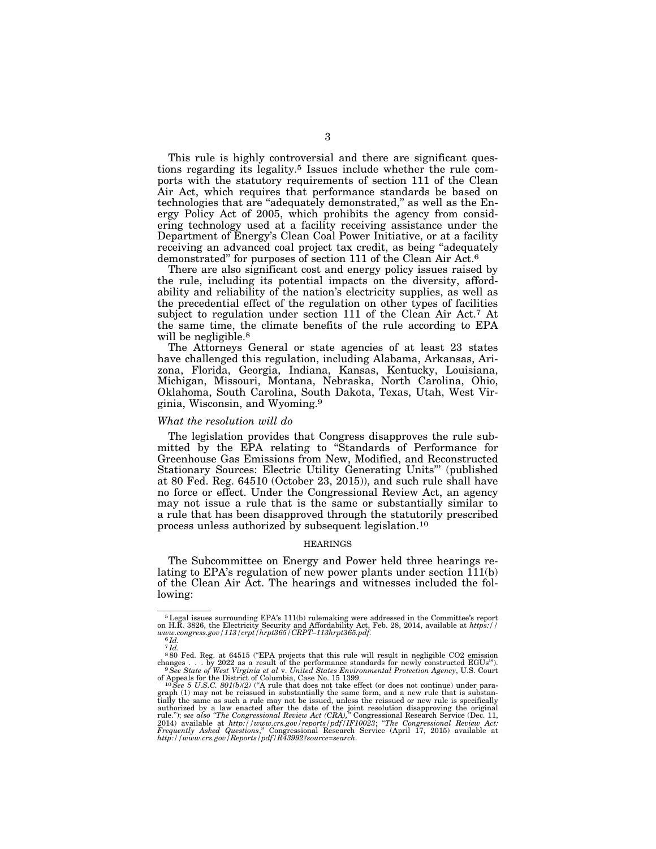This rule is highly controversial and there are significant questions regarding its legality.5 Issues include whether the rule comports with the statutory requirements of section 111 of the Clean Air Act, which requires that performance standards be based on technologies that are ''adequately demonstrated,'' as well as the Energy Policy Act of 2005, which prohibits the agency from considering technology used at a facility receiving assistance under the Department of Energy's Clean Coal Power Initiative, or at a facility receiving an advanced coal project tax credit, as being "adequately demonstrated'' for purposes of section 111 of the Clean Air Act.6

There are also significant cost and energy policy issues raised by the rule, including its potential impacts on the diversity, affordability and reliability of the nation's electricity supplies, as well as the precedential effect of the regulation on other types of facilities subject to regulation under section 111 of the Clean Air Act.7 At the same time, the climate benefits of the rule according to EPA will be negligible.<sup>8</sup>

The Attorneys General or state agencies of at least 23 states have challenged this regulation, including Alabama, Arkansas, Arizona, Florida, Georgia, Indiana, Kansas, Kentucky, Louisiana, Michigan, Missouri, Montana, Nebraska, North Carolina, Ohio, Oklahoma, South Carolina, South Dakota, Texas, Utah, West Virginia, Wisconsin, and Wyoming.9

#### *What the resolution will do*

The legislation provides that Congress disapproves the rule submitted by the EPA relating to "Standards of Performance for Greenhouse Gas Emissions from New, Modified, and Reconstructed Stationary Sources: Electric Utility Generating Units''' (published at 80 Fed. Reg. 64510 (October 23, 2015)), and such rule shall have no force or effect. Under the Congressional Review Act, an agency may not issue a rule that is the same or substantially similar to a rule that has been disapproved through the statutorily prescribed process unless authorized by subsequent legislation.10

#### HEARINGS

The Subcommittee on Energy and Power held three hearings relating to EPA's regulation of new power plants under section 111(b) of the Clean Air Act. The hearings and witnesses included the following:

<sup>&</sup>lt;sup>5</sup> Legal issues surrounding EPA's 111(b) rulemaking were addressed in the Committee's report on H.R. 3826, the Electricity Security and Affordability Act, Feb. 28, 2014, available at *https://www.congress.gov/113/crpt/hr* 

 $7\overline{Id}$ .

<sup>&</sup>lt;sup>8</sup>80 Fed. Reg. at 64515 ("EPA projects that this rule will result in negligible CO2 emission changes . . . by 2022 as a result of the performance standards for newly constructed EGUs").<br><sup>9</sup>See State of West Virginia et a

of Appeals for the District of Columbia, Case No. 15 1399.<br><sup>10</sup>See 5 U.S.C. 801(b/2) ("A rule that does not take effect (or does not continue) under para-<br>graph (1) may not be reissued in substantially the same form, and a tially the same as such a rule may not be issued, unless the reissued or new rule is specifically<br>authorized by a law enacted after the date of the joint resolution disapproving the original<br>rule."); see also "The Congres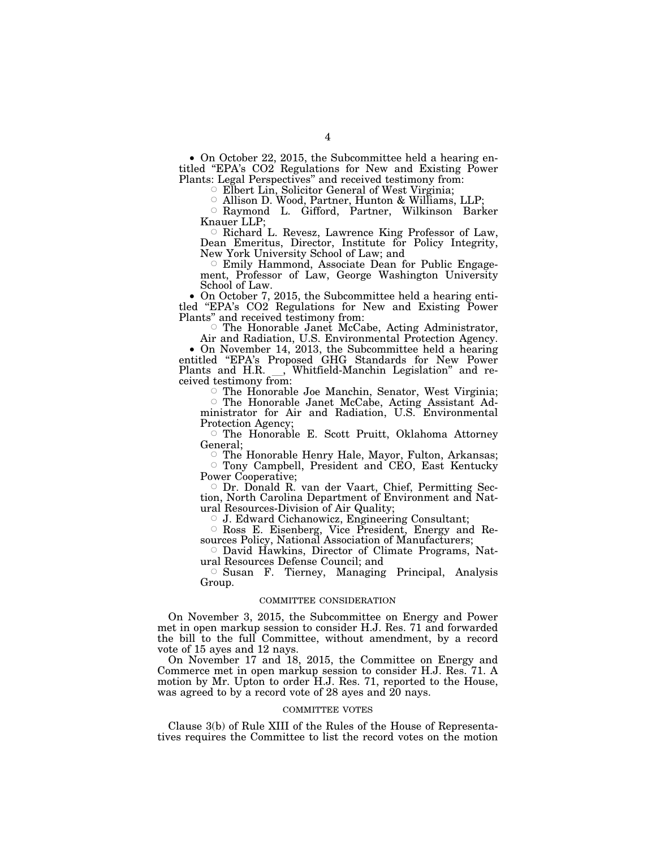• On October 22, 2015, the Subcommittee held a hearing entitled ''EPA's CO2 Regulations for New and Existing Power Plants: Legal Perspectives'' and received testimony from:

Elbert Lin, Solicitor General of West Virginia;

© Allison D. Wood, Partner, Hunton & Williams, LLP;<br>○ Raymond L. Gifford, Partner, Wilkinson Barker Knauer LLP;

 $\circ$  Richard L. Revesz, Lawrence King Professor of Law, Dean Emeritus, Director, Institute for Policy Integrity, New York University School of Law; and

Emily Hammond, Associate Dean for Public Engagement, Professor of Law, George Washington University School of Law.

• On October 7, 2015, the Subcommittee held a hearing entitled ''EPA's CO2 Regulations for New and Existing Power Plants'' and received testimony from:

The Honorable Janet McCabe, Acting Administrator,

Air and Radiation, U.S. Environmental Protection Agency. • On November 14, 2013, the Subcommittee held a hearing entitled ''EPA's Proposed GHG Standards for New Power Plants and H.R. J, Whitfield-Manchin Legislation" and received testimony from:

The Honorable Joe Manchin, Senator, West Virginia;

Æ The Honorable Janet McCabe, Acting Assistant Administrator for Air and Radiation, U.S. Environmental Protection Agency;

 $\circ$  The Honorable E. Scott Pruitt, Oklahoma Attorney General;

□ The Honorable Henry Hale, Mayor, Fulton, Arkansas; Tony Campbell, President and CEO, East Kentucky Power Cooperative;

Æ Dr. Donald R. van der Vaart, Chief, Permitting Section, North Carolina Department of Environment and Natural Resources-Division of Air Quality;

Æ J. Edward Cichanowicz, Engineering Consultant;

Æ Ross E. Eisenberg, Vice President, Energy and Resources Policy, National Association of Manufacturers;

Æ David Hawkins, Director of Climate Programs, Natural Resources Defense Council; and

Æ Susan F. Tierney, Managing Principal, Analysis Group.

## COMMITTEE CONSIDERATION

On November 3, 2015, the Subcommittee on Energy and Power met in open markup session to consider H.J. Res. 71 and forwarded the bill to the full Committee, without amendment, by a record vote of 15 ayes and 12 nays.

On November 17 and 18, 2015, the Committee on Energy and Commerce met in open markup session to consider H.J. Res. 71. A motion by Mr. Upton to order H.J. Res. 71, reported to the House, was agreed to by a record vote of 28 ayes and 20 nays.

#### COMMITTEE VOTES

Clause 3(b) of Rule XIII of the Rules of the House of Representatives requires the Committee to list the record votes on the motion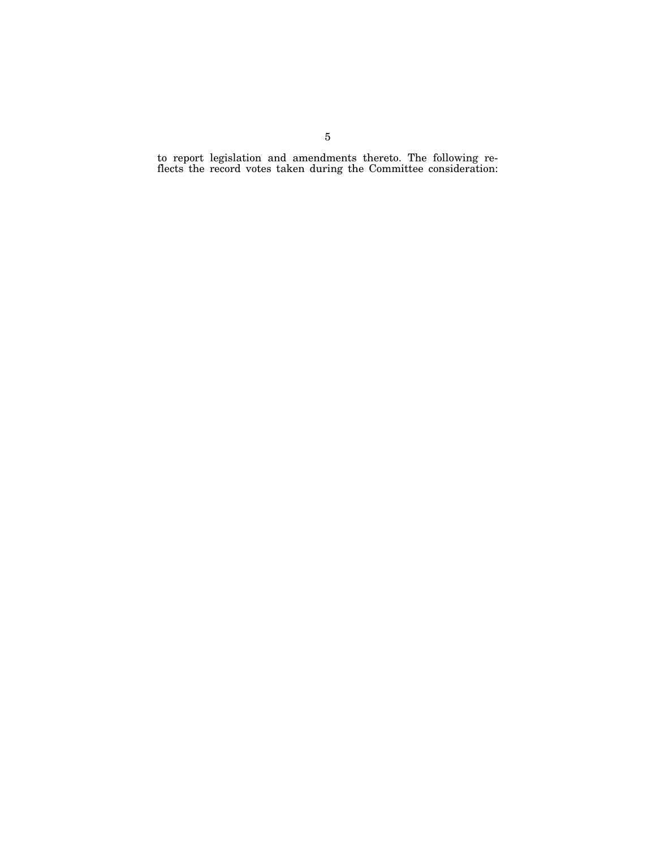to report legislation and amendments thereto. The following reflects the record votes taken during the Committee consideration: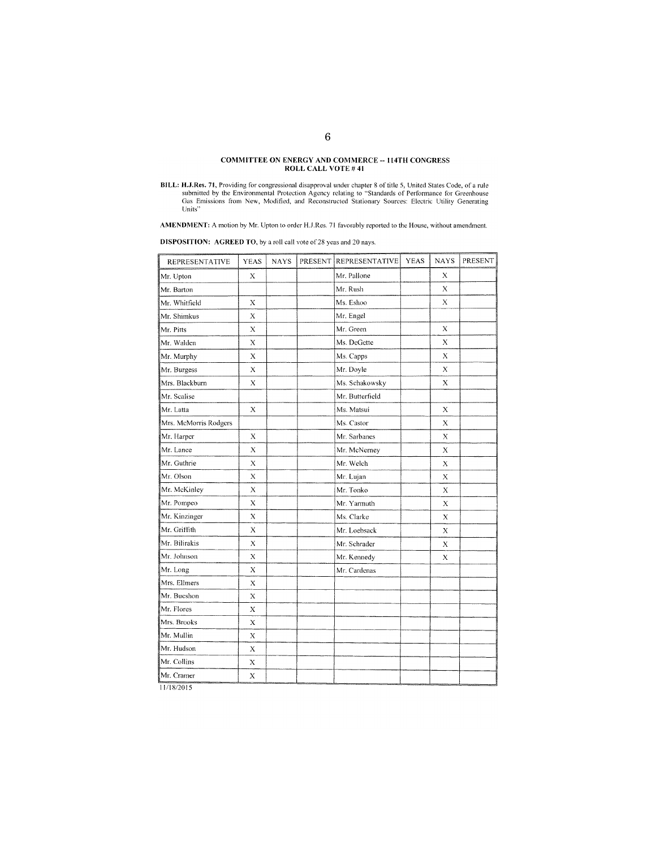# COMMITTEE ON ENERGY AND COMMERCE -- 114TH CONGRESS ROLL CALL VOTE #41

AMENDMENT: A motion by Mr. Upton to order H.J.Res. 71 favorably reported to the House, without amendment.

**DISPOSITION:** AGREED TO, by a roll call vote of 28 yeas and 20 nays.

| <b>REPRESENTATIVE</b> | <b>YEAS</b> | <b>NAYS</b> | PRESENT REPRESENTATIVE | <b>YEAS</b> | <b>NAYS</b> | PRESENT. |
|-----------------------|-------------|-------------|------------------------|-------------|-------------|----------|
| Mr. Upton             | X           |             | Mr. Pallone            |             | X           |          |
| Mr. Barton            |             |             | Mr. Rush               |             | X           |          |
| Mr. Whitfield         | Х           |             | Ms. Eshoo              |             | $\mathbf X$ |          |
| Mr. Shimkus           | X           |             | Mr. Engel              |             |             |          |
| Mr. Pitts             | Х           |             | Mr. Green              |             | Х           |          |
| Mr. Walden            | X           |             | Ms. DeGette            |             | $\mathbf X$ |          |
| Mr. Murphy            | X           |             | Ms. Capps              |             | X           |          |
| Mr. Burgess           | X           |             | Mr. Doyle              |             | X           |          |
| Mrs. Blackburn        | $\mathbf x$ |             | Ms. Schakowsky         |             | $\mathbf x$ |          |
| Mr. Scalise           |             |             | Mr. Butterfield        |             |             |          |
| Mr. Latta             | X           |             | Ms. Matsui             |             | Х           |          |
| Mrs. McMorris Rodgers |             |             | Ms. Castor             |             | X           |          |
| Mr. Harper            | X           |             | Mr. Sarbanes           |             | X           |          |
| Mr. Lance             | X           |             | Mr. McNerney           |             | X           |          |
| Mr. Guthrie           | $\bf{X}$    |             | Mr. Welch              |             | $\bf{X}$    |          |
| Mr. Olson             | X           |             | Mr. Lujan              |             | X           |          |
| Mr. McKinley          | $\bf{X}$    |             | Mr. Tonko              |             | X           |          |
| Mr. Pompeo            | Х           |             | Mr. Yarmuth            |             | X           |          |
| Mr. Kinzinger         | $\bf{X}$    |             | Ms. Clarke             |             | $\bf{X}$    |          |
| Mr. Griffith          | X           |             | Mr. Loebsack           |             | Х           |          |
| Mr. Bilirakis         | $\mathbf x$ |             | Mr. Schrader           |             | $\mathbf x$ |          |
| Mr. Johnson           | X           |             | Mr. Kennedy            |             | X           |          |
| Mr. Long              | Х           |             | Mr. Cardenas           |             |             |          |
| Mrs. Ellmers          | X           |             |                        |             |             |          |
| Mr. Bucshon           | Х           |             |                        |             |             |          |
| Mr. Flores            | X           |             |                        |             |             |          |
| Mrs. Brooks           | X           |             |                        |             |             |          |
| Mr. Mullin            | X           |             |                        |             |             |          |
| Mr. Hudson            | $\bar{X}$   |             |                        |             |             |          |
| Mr. Collins           | Х           |             |                        |             |             |          |
| Mr. Cramer            | X           |             |                        |             |             |          |

11/18/2015

BILL: H.J.Res. 71, Providing for congressional disapproval under chapter 8 of title 5, United States Code, of a rule submitted by the Environmental Protection Agency relating to "Standards of Performance for Greenhouse Gas Units"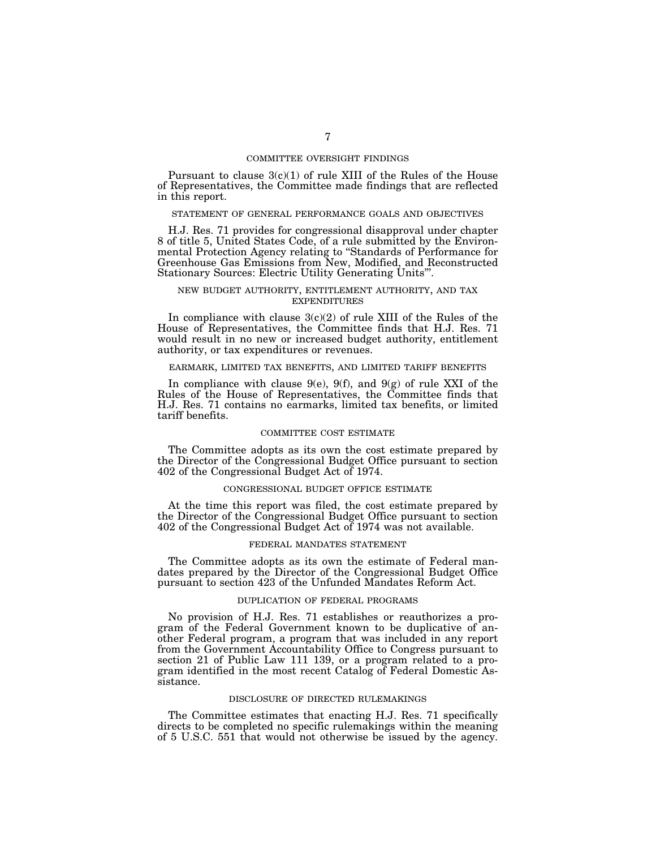### COMMITTEE OVERSIGHT FINDINGS

Pursuant to clause  $3(c)(1)$  of rule XIII of the Rules of the House of Representatives, the Committee made findings that are reflected in this report.

#### STATEMENT OF GENERAL PERFORMANCE GOALS AND OBJECTIVES

H.J. Res. 71 provides for congressional disapproval under chapter 8 of title 5, United States Code, of a rule submitted by the Environmental Protection Agency relating to ''Standards of Performance for Greenhouse Gas Emissions from New, Modified, and Reconstructed Stationary Sources: Electric Utility Generating Units'''.

## NEW BUDGET AUTHORITY, ENTITLEMENT AUTHORITY, AND TAX EXPENDITURES

In compliance with clause  $3(c)(2)$  of rule XIII of the Rules of the House of Representatives, the Committee finds that H.J. Res. 71 would result in no new or increased budget authority, entitlement authority, or tax expenditures or revenues.

#### EARMARK, LIMITED TAX BENEFITS, AND LIMITED TARIFF BENEFITS

In compliance with clause 9(e), 9(f), and 9(g) of rule XXI of the Rules of the House of Representatives, the Committee finds that H.J. Res. 71 contains no earmarks, limited tax benefits, or limited tariff benefits.

## COMMITTEE COST ESTIMATE

The Committee adopts as its own the cost estimate prepared by the Director of the Congressional Budget Office pursuant to section 402 of the Congressional Budget Act of 1974.

#### CONGRESSIONAL BUDGET OFFICE ESTIMATE

At the time this report was filed, the cost estimate prepared by the Director of the Congressional Budget Office pursuant to section 402 of the Congressional Budget Act of 1974 was not available.

## FEDERAL MANDATES STATEMENT

The Committee adopts as its own the estimate of Federal mandates prepared by the Director of the Congressional Budget Office pursuant to section 423 of the Unfunded Mandates Reform Act.

## DUPLICATION OF FEDERAL PROGRAMS

No provision of H.J. Res. 71 establishes or reauthorizes a program of the Federal Government known to be duplicative of another Federal program, a program that was included in any report from the Government Accountability Office to Congress pursuant to section 21 of Public Law 111 139, or a program related to a program identified in the most recent Catalog of Federal Domestic Assistance.

#### DISCLOSURE OF DIRECTED RULEMAKINGS

The Committee estimates that enacting H.J. Res. 71 specifically directs to be completed no specific rulemakings within the meaning of 5 U.S.C. 551 that would not otherwise be issued by the agency.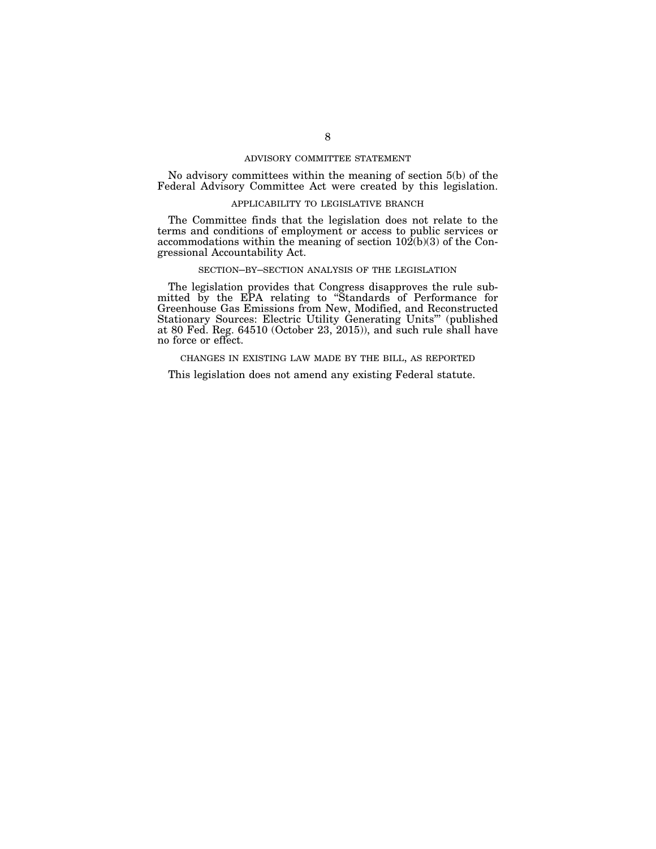## ADVISORY COMMITTEE STATEMENT

No advisory committees within the meaning of section 5(b) of the Federal Advisory Committee Act were created by this legislation.

## APPLICABILITY TO LEGISLATIVE BRANCH

The Committee finds that the legislation does not relate to the terms and conditions of employment or access to public services or accommodations within the meaning of section  $102(b)(3)$  of the Congressional Accountability Act.

## SECTION–BY–SECTION ANALYSIS OF THE LEGISLATION

The legislation provides that Congress disapproves the rule submitted by the EPA relating to ''Standards of Performance for Greenhouse Gas Emissions from New, Modified, and Reconstructed Stationary Sources: Electric Utility Generating Units''' (published at 80 Fed. Reg. 64510 (October 23, 2015)), and such rule shall have no force or effect.

CHANGES IN EXISTING LAW MADE BY THE BILL, AS REPORTED

This legislation does not amend any existing Federal statute.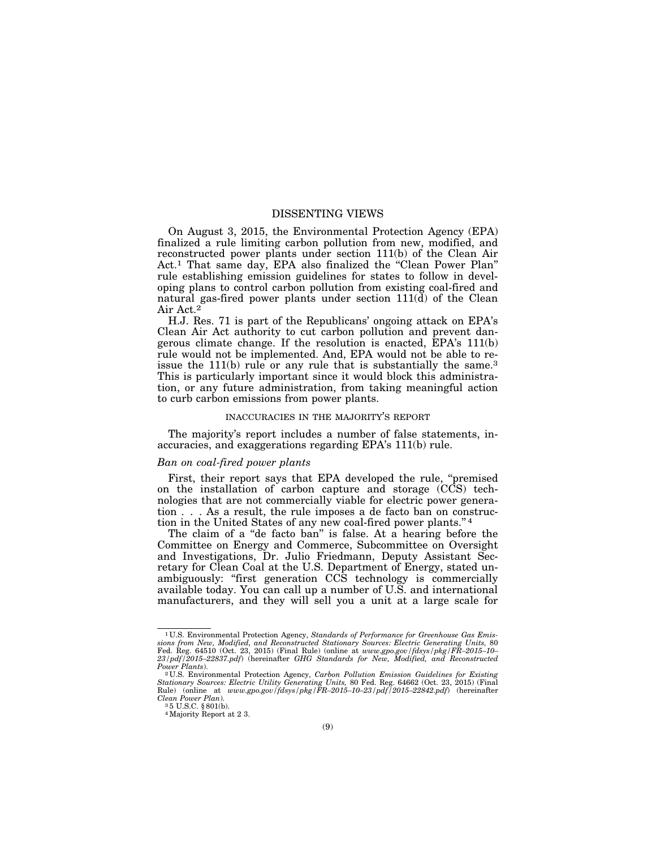## DISSENTING VIEWS

On August 3, 2015, the Environmental Protection Agency (EPA) finalized a rule limiting carbon pollution from new, modified, and reconstructed power plants under section 111(b) of the Clean Air Act.<sup>1</sup> That same day, EPA also finalized the "Clean Power Plan" rule establishing emission guidelines for states to follow in developing plans to control carbon pollution from existing coal-fired and natural gas-fired power plants under section 111(d) of the Clean Air Act.2

H.J. Res. 71 is part of the Republicans' ongoing attack on EPA's Clean Air Act authority to cut carbon pollution and prevent dangerous climate change. If the resolution is enacted, EPA's 111(b) rule would not be implemented. And, EPA would not be able to reissue the 111(b) rule or any rule that is substantially the same.<sup>3</sup> This is particularly important since it would block this administration, or any future administration, from taking meaningful action to curb carbon emissions from power plants.

#### INACCURACIES IN THE MAJORITY'S REPORT

The majority's report includes a number of false statements, inaccuracies, and exaggerations regarding EPA's 111(b) rule.

#### *Ban on coal-fired power plants*

First, their report says that EPA developed the rule, "premised on the installation of carbon capture and storage (CCS) technologies that are not commercially viable for electric power generation . . . As a result, the rule imposes a de facto ban on construction in the United States of any new coal-fired power plants.'' 4

The claim of a "de facto ban" is false. At a hearing before the Committee on Energy and Commerce, Subcommittee on Oversight and Investigations, Dr. Julio Friedmann, Deputy Assistant Secretary for Clean Coal at the U.S. Department of Energy, stated unambiguously: "first generation CCS technology is commercially available today. You can call up a number of U.S. and international manufacturers, and they will sell you a unit at a large scale for

<sup>1</sup> U.S. Environmental Protection Agency, *Standards of Performance for Greenhouse Gas Emissions from New, Modified, and Reconstructed Stationary Sources: Electric Generating Units,* 80 Fed. Reg. 64510 (Oct. 23, 2015) (Final Rule) (online at *www.gpo.gov/fdsys/pkg/FR–2015–10– 23/pdf/2015–22837.pdf*) (hereinafter *GHG Standards for New, Modified, and Reconstructed* 

*Power Plants*). 2 U.S. Environmental Protection Agency, *Carbon Pollution Emission Guidelines for Existing Stationary Sources: Electric Utility Generating Units,* 80 Fed. Reg. 64662 (Oct. 23, 2015) (Final Rule) (online at *www.gpo.gov/fdsys/pkg/FR–2015–10–23/pdf/2015–22842.pdf*) (hereinafter *Clean Power Plan*). 3 5 U.S.C. § 801(b).

<sup>4</sup>Majority Report at 2 3.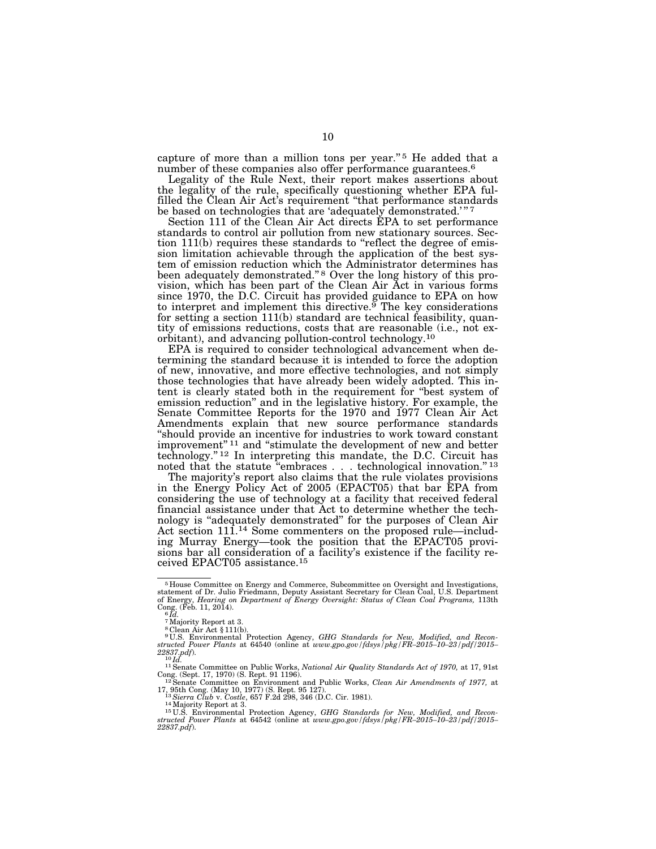capture of more than a million tons per year."<sup>5</sup> He added that a number of these companies also offer performance guarantees.<sup>6</sup>

Legality of the Rule Next, their report makes assertions about the legality of the rule, specifically questioning whether EPA fulfilled the Clean Air Act's requirement "that performance standards" be based on technologies that are 'adequately demonstrated.'"<sup>7</sup>

Section 111 of the Clean Air Act directs EPA to set performance standards to control air pollution from new stationary sources. Section 111(b) requires these standards to ''reflect the degree of emission limitation achievable through the application of the best system of emission reduction which the Administrator determines has been adequately demonstrated."<sup>8</sup> Over the long history of this provision, which has been part of the Clean Air Act in various forms since 1970, the D.C. Circuit has provided guidance to EPA on how to interpret and implement this directive.<sup> $\overline{9}$ </sup> The key considerations for setting a section 111(b) standard are technical feasibility, quantity of emissions reductions, costs that are reasonable (i.e., not exorbitant), and advancing pollution-control technology.10

EPA is required to consider technological advancement when determining the standard because it is intended to force the adoption of new, innovative, and more effective technologies, and not simply those technologies that have already been widely adopted. This intent is clearly stated both in the requirement for ''best system of emission reduction'' and in the legislative history. For example, the Senate Committee Reports for the 1970 and 1977 Clean Air Act Amendments explain that new source performance standards ''should provide an incentive for industries to work toward constant improvement"<sup>11</sup> and "stimulate the development of new and better technology.'' 12 In interpreting this mandate, the D.C. Circuit has noted that the statute "embraces . . . technological innovation."<sup>13</sup>

The majority's report also claims that the rule violates provisions in the Energy Policy Act of 2005 (EPACT05) that bar EPA from considering the use of technology at a facility that received federal financial assistance under that Act to determine whether the technology is ''adequately demonstrated'' for the purposes of Clean Air Act section 111.<sup>14</sup> Some commenters on the proposed rule—including Murray Energy—took the position that the EPACT05 provisions bar all consideration of a facility's existence if the facility received EPACT05 assistance.15

<sup>&</sup>lt;sup>5</sup> House Committee on Energy and Commerce, Subcommittee on Oversight and Investigations, statement of Dr. Julio Friedmann, Deputy Assistant Secretary for Clean Coal, U.S. Department of Energy, *Hearing on Department of En* Cong. (Feb. 11, 2014). 6 *Id.* 

<sup>7</sup>Majority Report at 3.

<sup>8</sup> Clean Air Act § 111(b). 9 U.S. Environmental Protection Agency, *GHG Standards for New, Modified, and Reconstructed Power Plants* at 64540 (online at *www.gpo.gov/fdsys/pkg/FR–2015–10–23/pdf/2015–* 

*<sup>22837.</sup>pdf*). 10 *Id.* 11Senate Committee on Public Works, *National Air Quality Standards Act of 1970,* at 17, 91st

Cong. (Sept. 17, 1970) (S. Rept. 91 1196). 12Senate Committee on Environment and Public Works, *Clean Air Amendments of 1977,* at

<sup>13</sup> Sierra Club v. Costle, 657 F.2d 298, 346 (D.C. Cir. 1981).<br><sup>14</sup> Majority Report at 3.<br><sup>14</sup> Majority Report at 3.<br><sup>15</sup>U.S. Environmental Protection Agency, *GHG Standards for New, Modified, and Reconstructed Power Plants* at 64542 (online at *www.gpo.gov/fdsys/pkg/FR–2015–10–23/pdf/2015– 22837.pdf*).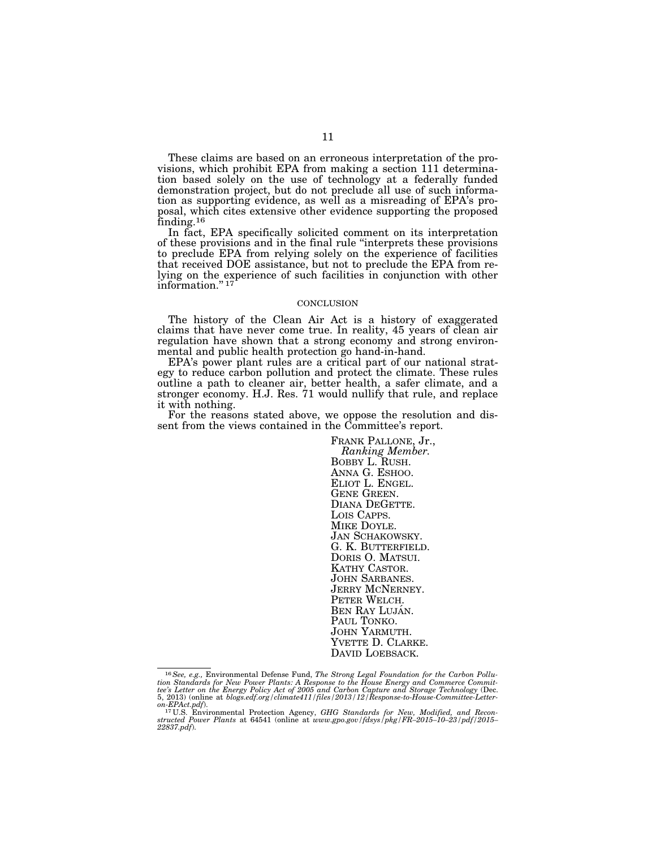These claims are based on an erroneous interpretation of the provisions, which prohibit EPA from making a section 111 determination based solely on the use of technology at a federally funded demonstration project, but do not preclude all use of such information as supporting evidence, as well as a misreading of EPA's proposal, which cites extensive other evidence supporting the proposed finding.16

In fact, EPA specifically solicited comment on its interpretation of these provisions and in the final rule ''interprets these provisions to preclude EPA from relying solely on the experience of facilities that received DOE assistance, but not to preclude the EPA from relying on the experience of such facilities in conjunction with other information."<sup>17</sup>

#### **CONCLUSION**

The history of the Clean Air Act is a history of exaggerated claims that have never come true. In reality, 45 years of clean air regulation have shown that a strong economy and strong environmental and public health protection go hand-in-hand.

EPA's power plant rules are a critical part of our national strategy to reduce carbon pollution and protect the climate. These rules outline a path to cleaner air, better health, a safer climate, and a stronger economy. H.J. Res. 71 would nullify that rule, and replace it with nothing.

For the reasons stated above, we oppose the resolution and dissent from the views contained in the Committee's report.

> FRANK PALLONE, Jr., *Ranking Member.*  BOBBY L. RUSH.<br>ANNA G. ESHOO.<br>ELIOT L. ENGEL.<br>GENE GREEN.<br>DIANA DEGETTE.<br>LOIS CAPPS.<br>MIKE DOYLE.<br>JAN SCHAKOWSKY.<br>G. K. BUTTERFIELD.<br>DORIS O. MATSUI.<br>KATHY CASTOR.<br>JOHN SABANES.<br>JERRY MCNERNEY.<br>PETER WELCH.<br>BEN RAY LUJÁN.<br>P

 $^{16}$  See, e.g., Environmental Defense Fund, The Strong Legal Foundation for the Carbon Pollution Standards for New Power Plants: A Response to the House Energy and Commerce Committiee's Letter on the Energy Policy Act o 5, 2013) (online at *blogs.edf.org/climate411/files/2013/12/Response-to-House-Committee-Letter-*

*on-EPAct.pdf*). 17 U.S. Environmental Protection Agency, *GHG Standards for New, Modified, and Recon-structed Power Plants* at 64541 (online at *www.gpo.gov/fdsys/pkg/FR–2015–10–23/pdf/2015– ztructed Power Plants* at 64541 (online at *www.gpo.gov/fdsys/pkg/FR-2015-10-23/pdf/2015-22837.pdf*).